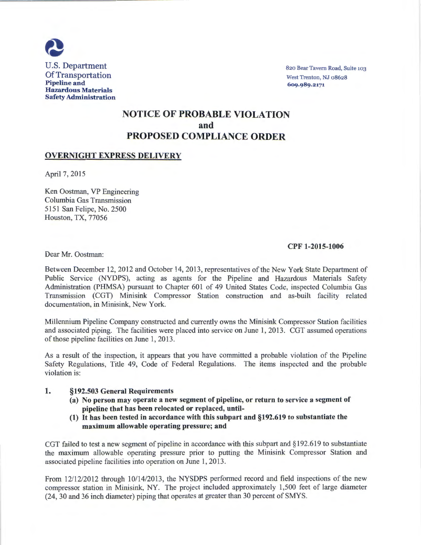

820 Bear Tavern Road, Suite 103 West Trenton, NJ 08628 609.989.2171

# NOTICE OF PROBABLE VIOLATION and PROPOSED COMPLIANCE ORDER

## OVERNIGHT EXPRESS DELIVERY

April 7, 2015

Ken Oostman, VP Engineering Columbia Gas Transmission 5151 San Felipe, No. 2500 Houston, TX, 77056

## CPF 1-2015-1006

Dear Mr. Oostman:

Between December 12, 2012 and October 14, 2013, representatives of the New York State Department of Public Service (NYDPS), acting as agents for the Pipeline and Hazardous Materials Safety Administration (PHMSA) pursuant to Chapter 601 of 49 United States Code, inspected Columbia Gas Transmission (CGT) Minisink Compressor Station construction and as-built facility related documentation, in Minisink, New York.

Millennium Pipeline Company constructed and currently owns the Minisink Compressor Station facilities and associated piping. The facilities were placed into service on June 1, 2013. CGT assumed operations of those pipeline facilities on June 1, 2013.

As a result of the inspection, it appears that you have committed a probable violation of the Pipeline Safety Regulations, Title 49, Code of Federal Regulations. The items inspected and the probable violation is:

## 1. §192.503 General Requirements

- (a) No person may operate a new segment of pipeline, or return to service a segment of pipeline that has been relocated or replaced, until-
- (1) It has been tested in accordance with this subpart and §192.619 to substantiate the maximum allowable operating pressure; and

CGT failed to test a new segment of pipeline in accordance with this subpart and §192.619 to substantiate the maximum allowable operating pressure prior to putting the Minisink Compressor Station and associated pipeline facilities into operation on June 1, 2013.

From  $12/12/2012$  through  $10/14/2013$ , the NYSDPS performed record and field inspections of the new compressor station in Minisink, NY. The project included approximately 1,500 feet of large diameter (24, 30 and 36 inch diameter) piping that operates at greater than 30 percent of SMYS.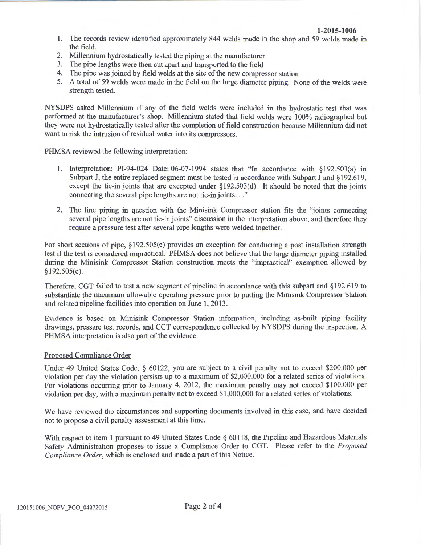#### **1-2015-1006**

- 1. The records review identified approximately 844 welds made in the shop and 59 welds made in the field.
- 2. Millennium hydrostatically tested the piping at the manufacturer.
- 3. The pipe lengths were then cut apart and transported to the field
- 4. The pipe was joined by field welds at the site of the new compressor station
- 5. A total of 59 welds were made in the field on the large diameter piping. None of the welds were strength tested.

NYSDPS asked Millennium if any of the field welds were included in the hydrostatic test that was performed at the manufacturer's shop. Millennium stated that field welds were 100% radiographed but they were not hydrostatically tested after the completion of field construction because Millennium did not want to risk the intrusion of residual water into its compressors.

PHMSA reviewed the following interpretation:

- 1. Interpretation: PI-94-024 Date: 06-07-1994 states that "In accordance with §192.503(a) in Subpart J, the entire replaced segment must be tested in accordance with Subpart J and §192.619, except the tie-in joints that are excepted under §192.503(d). It should be noted that the joints connecting the several pipe lengths are not tie-in joints..."
- 2. The line piping in question with the Minisink Compressor station fits the "joints connecting several pipe lengths are not tie-in joints" discussion in the interpretation above, and therefore they require a pressure test after several pipe lengths were welded together.

For short sections of pipe,  $\S 192.505(e)$  provides an exception for conducting a post installation strength test if the test is considered impractical. PHMSA does not believe that the large diameter piping installed during the Minisink Compressor Station construction meets the "impractical" exemption allowed by §192.505(e).

Therefore, CGT failed to test a new segment of pipeline in accordance with this subpart and §192.619 to substantiate the maximum allowable operating pressure prior to putting the Minisink Compressor Station and related pipeline facilities into operation on June 1, 2013.

Evidence is based on Minisink Compressor Station information, including as-built piping facility drawings, pressure test records, and CGT correspondence collected by NYSDPS during the inspection. A PHMSA interpretation is also part of the evidence.

#### Proposed Compliance Order

Under 49 United States Code, § 60122, you are subject to a civil penalty not to exceed \$200,000 per violation per day the violation persists up to a maximum of \$2,000,000 for a related series of violations. For violations occurring prior to January 4, 2012, the maximum penalty may not exceed \$100,000 per violation per day, with a maximum penalty not to exceed \$1,000,000 for a related series of violations.

We have reviewed the circumstances and supporting documents involved in this case, and have decided not to propose a civil penalty assessment at this time.

With respect to item 1 pursuant to 49 United States Code § 60118, the Pipeline and Hazardous Materials Safety Administration proposes to issue a Compliance Order to CGT. Please refer to the *Proposed Compliance Order,* which is enclosed and made a part of this Notice.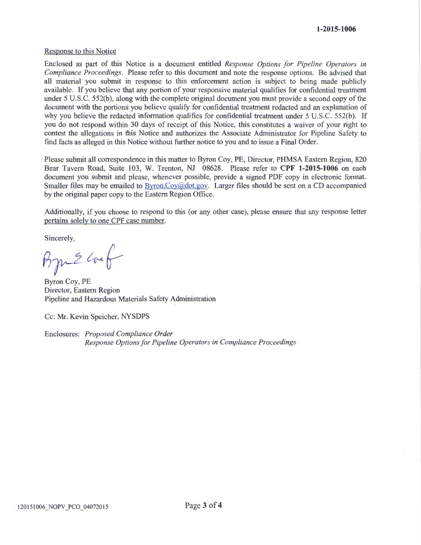#### Response to this Notice

Enclosed as part of this Notice is a document entitled *Response Options for Pipeline Operators in Compliance Proceedings.* Please refer to this document and note the response options. Be advised that all material you submit in response to this enforcement action is subject to being made publicly available. If you believe that any portion of your responsive material qualifies for confidential treatment under 5 U.S.C. 552(b), along with the complete original document you must provide a second copy of the document with the portions you believe qualify for confidential treatment redacted and an explanation of why you believe the redacted information qualifies for confidential treatment under 5 U.S.C. 552(b). If you do not respond within 30 days of receipt of this Notice, this constitutes a waiver of your right to contest the allegations in this Notice and authorizes the Associate Administrator for Pipeline Safety to find facts as alleged in this Notice without further notice to you and to issue a Final Order.

Please submit all correspondence in this matter to Byron Coy, PE, Director, PHMSA Eastern Region, 820 Bear Tavern Road, Suite 103, W. Trenton, NJ 08628. Please refer to **CPF 1-2015-1006** on each document you submit and please, whenever possible, provide a signed PDF copy in electronic format. Smaller files may be emailed to **Byron.Coy@dot.gov.** Larger files should be sent on a CD accompanied by the original paper copy to the Eastern Region Office.

Additionally, if you choose to respond to this (or any other case), please ensure that any response letter pertains solely to one CPF case number.

Sincerely,

 $B$ m<sup>2</sup> conf

Byron Coy, PE Director, Eastern Region Pipeline and Hazardous Materials Safety Administration

Cc: Mr. Kevin Speicher, NYSDPS

Enclosures: *Proposed Compliance Order Response Options for Pipeline Operators in Compliance Proceedings*